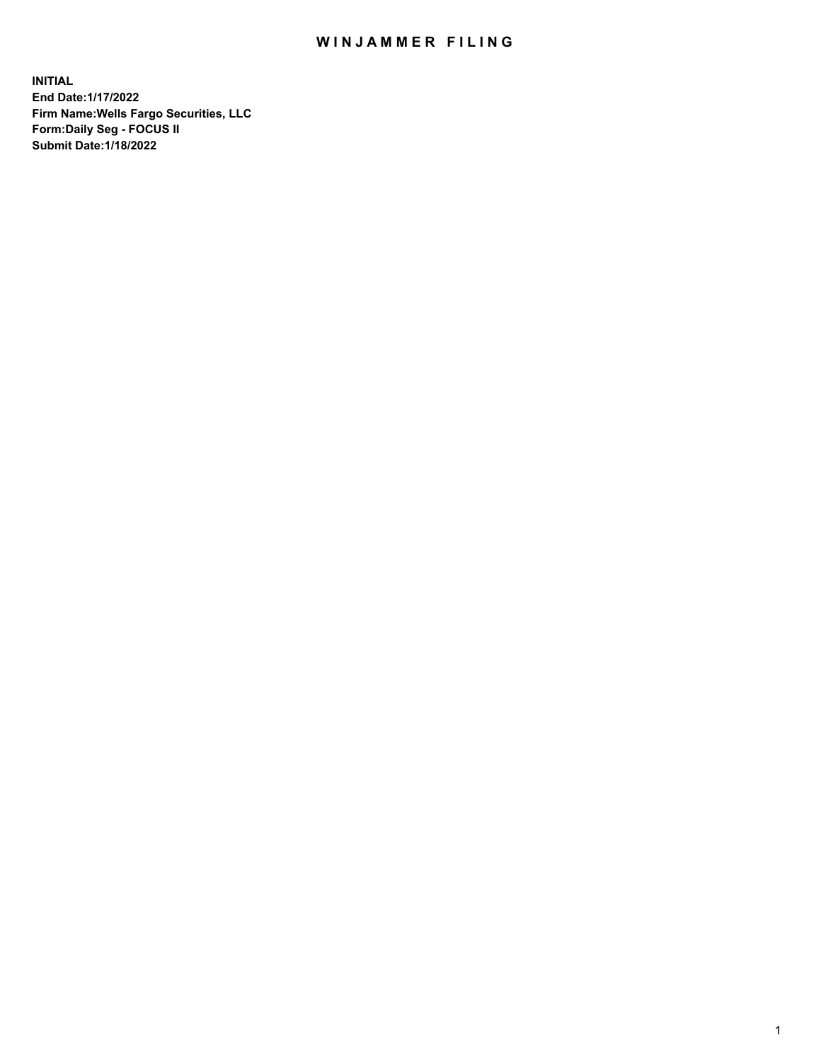## WIN JAMMER FILING

**INITIAL End Date:1/17/2022 Firm Name:Wells Fargo Securities, LLC Form:Daily Seg - FOCUS II Submit Date:1/18/2022**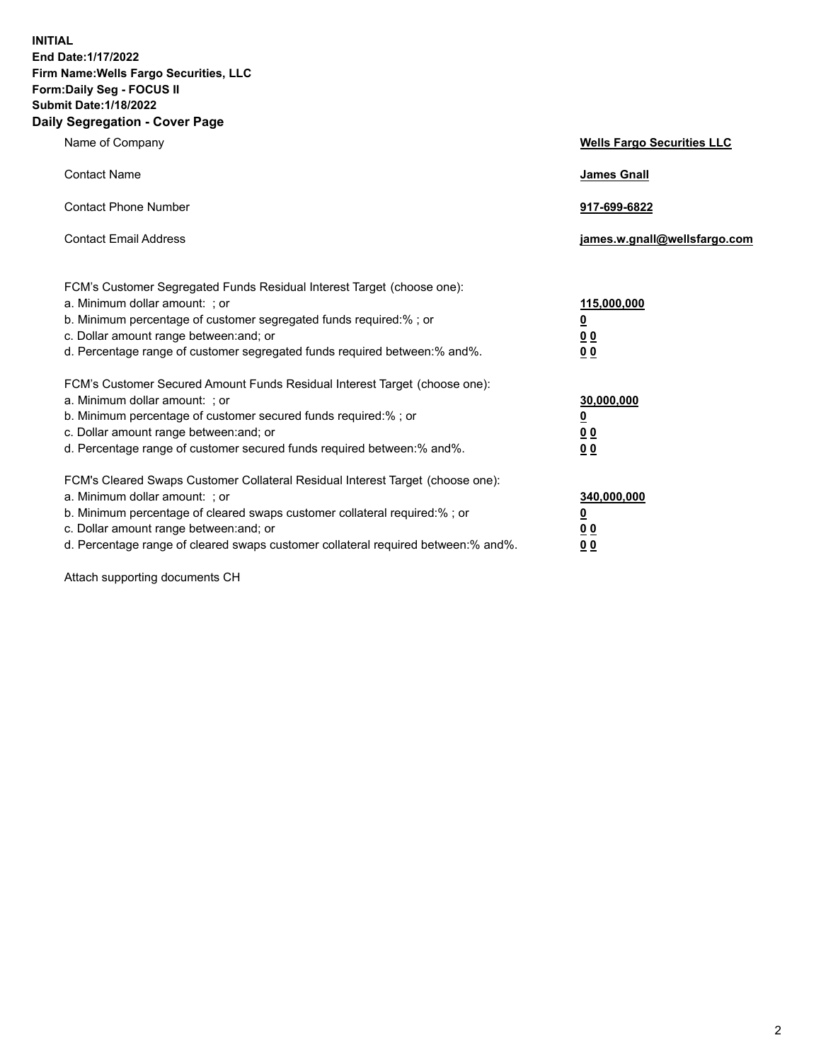**INITIAL End Date:1/17/2022 Firm Name:Wells Fargo Securities, LLC Form:Daily Seg - FOCUS II Submit Date:1/18/2022 Daily Segregation - Cover Page**

| Name of Company                                                                                                                                                                                                                                                                                                                | <b>Wells Fargo Securities LLC</b>                          |
|--------------------------------------------------------------------------------------------------------------------------------------------------------------------------------------------------------------------------------------------------------------------------------------------------------------------------------|------------------------------------------------------------|
| <b>Contact Name</b>                                                                                                                                                                                                                                                                                                            | <b>James Gnall</b>                                         |
| <b>Contact Phone Number</b>                                                                                                                                                                                                                                                                                                    | 917-699-6822                                               |
| <b>Contact Email Address</b>                                                                                                                                                                                                                                                                                                   | james.w.gnall@wellsfargo.com                               |
| FCM's Customer Segregated Funds Residual Interest Target (choose one):<br>a. Minimum dollar amount: ; or<br>b. Minimum percentage of customer segregated funds required:% ; or<br>c. Dollar amount range between: and; or<br>d. Percentage range of customer segregated funds required between:% and%.                         | 115,000,000<br><u>0</u><br>0 <sub>0</sub><br>00            |
| FCM's Customer Secured Amount Funds Residual Interest Target (choose one):<br>a. Minimum dollar amount: ; or<br>b. Minimum percentage of customer secured funds required:%; or<br>c. Dollar amount range between: and; or<br>d. Percentage range of customer secured funds required between:% and%.                            | 30,000,000<br><u>0</u><br>0 <sub>0</sub><br>0 <sub>0</sub> |
| FCM's Cleared Swaps Customer Collateral Residual Interest Target (choose one):<br>a. Minimum dollar amount: ; or<br>b. Minimum percentage of cleared swaps customer collateral required:% ; or<br>c. Dollar amount range between: and; or<br>d. Percentage range of cleared swaps customer collateral required between:% and%. | 340,000,000<br><u>0</u><br>00<br>00                        |

Attach supporting documents CH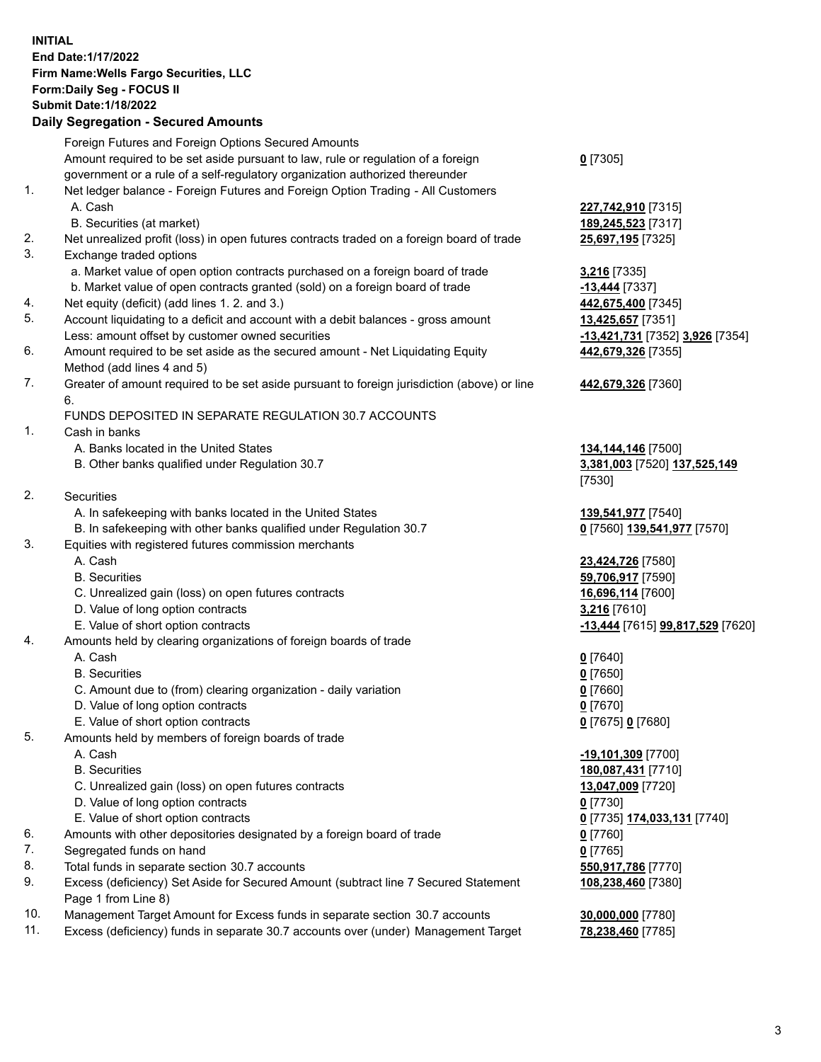**INITIAL End Date:1/17/2022 Firm Name:Wells Fargo Securities, LLC Form:Daily Seg - FOCUS II Submit Date:1/18/2022**

## **Daily Segregation - Secured Amounts**

|                | Foreign Futures and Foreign Options Secured Amounts                                         |                                  |
|----------------|---------------------------------------------------------------------------------------------|----------------------------------|
|                | Amount required to be set aside pursuant to law, rule or regulation of a foreign            | $Q$ [7305]                       |
|                | government or a rule of a self-regulatory organization authorized thereunder                |                                  |
| 1.             | Net ledger balance - Foreign Futures and Foreign Option Trading - All Customers             |                                  |
|                | A. Cash                                                                                     | 227,742,910 [7315]               |
|                | B. Securities (at market)                                                                   | 189,245,523 [7317]               |
| 2.             | Net unrealized profit (loss) in open futures contracts traded on a foreign board of trade   | 25,697,195 [7325]                |
| 3.             | Exchange traded options                                                                     |                                  |
|                | a. Market value of open option contracts purchased on a foreign board of trade              | 3,216 [7335]                     |
|                | b. Market value of open contracts granted (sold) on a foreign board of trade                | -13,444 [7337]                   |
| 4.             | Net equity (deficit) (add lines 1. 2. and 3.)                                               | 442,675,400 [7345]               |
| 5.             | Account liquidating to a deficit and account with a debit balances - gross amount           | 13,425,657 [7351]                |
|                | Less: amount offset by customer owned securities                                            | -13,421,731 [7352] 3,926 [7354]  |
| 6.             | Amount required to be set aside as the secured amount - Net Liquidating Equity              | 442,679,326 [7355]               |
|                | Method (add lines 4 and 5)                                                                  |                                  |
| 7.             | Greater of amount required to be set aside pursuant to foreign jurisdiction (above) or line | 442,679,326 [7360]               |
|                | 6.                                                                                          |                                  |
|                | FUNDS DEPOSITED IN SEPARATE REGULATION 30.7 ACCOUNTS                                        |                                  |
| 1.             | Cash in banks                                                                               |                                  |
|                | A. Banks located in the United States                                                       | 134,144,146 [7500]               |
|                | B. Other banks qualified under Regulation 30.7                                              | 3,381,003 [7520] 137,525,149     |
|                |                                                                                             | [7530]                           |
| 2.             | Securities                                                                                  |                                  |
|                | A. In safekeeping with banks located in the United States                                   | 139,541,977 [7540]               |
|                | B. In safekeeping with other banks qualified under Regulation 30.7                          | 0 [7560] 139,541,977 [7570]      |
| 3.             | Equities with registered futures commission merchants                                       |                                  |
|                | A. Cash                                                                                     | 23,424,726 [7580]                |
|                | <b>B.</b> Securities                                                                        | 59,706,917 [7590]                |
|                | C. Unrealized gain (loss) on open futures contracts                                         | 16,696,114 [7600]                |
|                | D. Value of long option contracts                                                           | 3,216 [7610]                     |
|                | E. Value of short option contracts                                                          | -13,444 [7615] 99,817,529 [7620] |
| 4.             | Amounts held by clearing organizations of foreign boards of trade                           |                                  |
|                | A. Cash                                                                                     | $0$ [7640]                       |
|                | <b>B.</b> Securities                                                                        | $0$ [7650]                       |
|                | C. Amount due to (from) clearing organization - daily variation                             | $0$ [7660]                       |
|                | D. Value of long option contracts<br>E. Value of short option contracts                     | $0$ [7670]                       |
| 5.             | Amounts held by members of foreign boards of trade                                          | 0 [7675] 0 [7680]                |
|                | A. Cash                                                                                     | $-19,101,309$ [7700]             |
|                | <b>B.</b> Securities                                                                        | 180,087,431 [7710]               |
|                | C. Unrealized gain (loss) on open futures contracts                                         | 13,047,009 [7720]                |
|                | D. Value of long option contracts                                                           | $0$ [7730]                       |
|                | E. Value of short option contracts                                                          | 0 [7735] 174,033,131 [7740]      |
| 6.             | Amounts with other depositories designated by a foreign board of trade                      | 0 [7760]                         |
| 7.             | Segregated funds on hand                                                                    | $0$ [7765]                       |
| 8.             | Total funds in separate section 30.7 accounts                                               | 550,917,786 [7770]               |
| 9.             | Excess (deficiency) Set Aside for Secured Amount (subtract line 7 Secured Statement         | 108,238,460 [7380]               |
|                | Page 1 from Line 8)                                                                         |                                  |
| $\overline{A}$ |                                                                                             | $AA$ $AA$ $T77001$               |

- 10. Management Target Amount for Excess funds in separate section 30.7 accounts **30,000,000** [7780]
- 11. Excess (deficiency) funds in separate 30.7 accounts over (under) Management Target **78,238,460** [7785]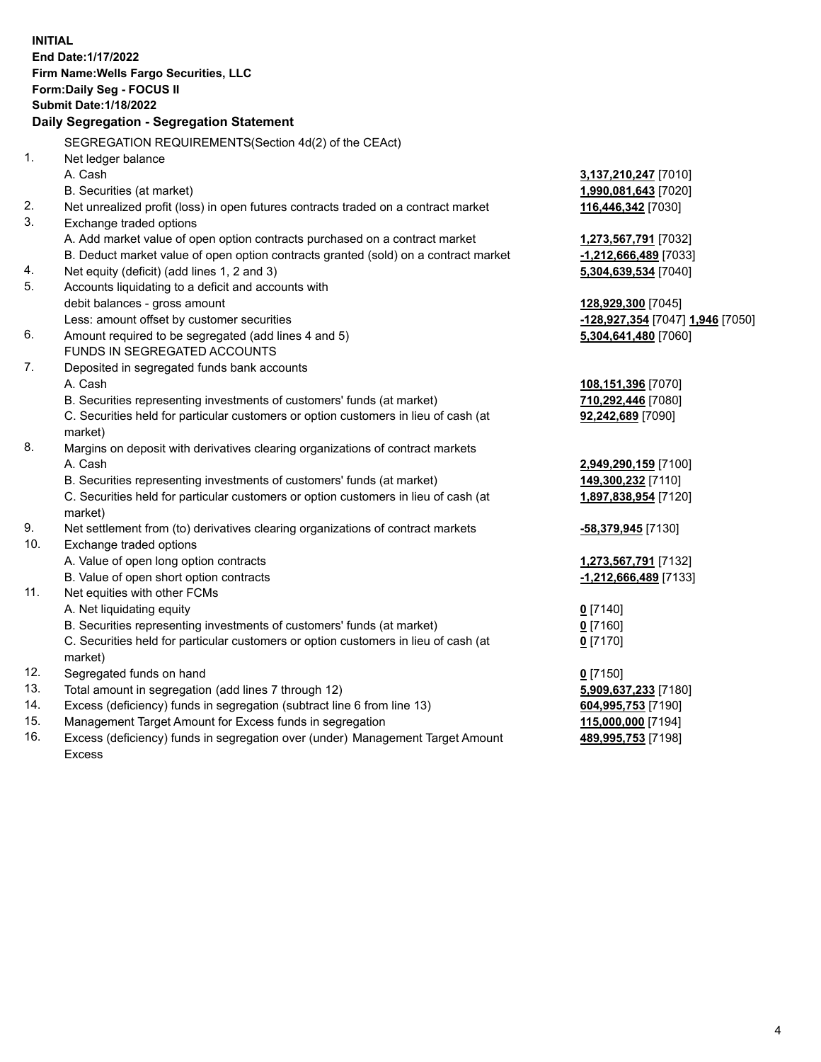**INITIAL End Date:1/17/2022 Firm Name:Wells Fargo Securities, LLC Form:Daily Seg - FOCUS II Submit Date:1/18/2022 Daily Segregation - Segregation Statement** SEGREGATION REQUIREMENTS(Section 4d(2) of the CEAct) 1. Net ledger balance A. Cash **3,137,210,247** [7010] B. Securities (at market) **1,990,081,643** [7020] 2. Net unrealized profit (loss) in open futures contracts traded on a contract market **116,446,342** [7030] 3. Exchange traded options A. Add market value of open option contracts purchased on a contract market **1,273,567,791** [7032] B. Deduct market value of open option contracts granted (sold) on a contract market **-1,212,666,489** [7033] 4. Net equity (deficit) (add lines 1, 2 and 3) **5,304,639,534** [7040] 5. Accounts liquidating to a deficit and accounts with debit balances - gross amount **128,929,300** [7045] Less: amount offset by customer securities **-128,927,354** [7047] **1,946** [7050] 6. Amount required to be segregated (add lines 4 and 5) **5,304,641,480** [7060] FUNDS IN SEGREGATED ACCOUNTS 7. Deposited in segregated funds bank accounts A. Cash **108,151,396** [7070] B. Securities representing investments of customers' funds (at market) **710,292,446** [7080] C. Securities held for particular customers or option customers in lieu of cash (at market) **92,242,689** [7090] 8. Margins on deposit with derivatives clearing organizations of contract markets A. Cash **2,949,290,159** [7100] B. Securities representing investments of customers' funds (at market) **149,300,232** [7110] C. Securities held for particular customers or option customers in lieu of cash (at market) **1,897,838,954** [7120] 9. Net settlement from (to) derivatives clearing organizations of contract markets **-58,379,945** [7130] 10. Exchange traded options A. Value of open long option contracts **1,273,567,791** [7132] B. Value of open short option contracts **-1,212,666,489** [7133] 11. Net equities with other FCMs A. Net liquidating equity **0** [7140] B. Securities representing investments of customers' funds (at market) **0** [7160] C. Securities held for particular customers or option customers in lieu of cash (at market) **0** [7170] 12. Segregated funds on hand **0** [7150] 13. Total amount in segregation (add lines 7 through 12) **5,909,637,233** [7180] 14. Excess (deficiency) funds in segregation (subtract line 6 from line 13) **604,995,753** [7190] 15. Management Target Amount for Excess funds in segregation **115,000,000** [7194] 16. Excess (deficiency) funds in segregation over (under) Management Target Amount **489,995,753** [7198]

Excess